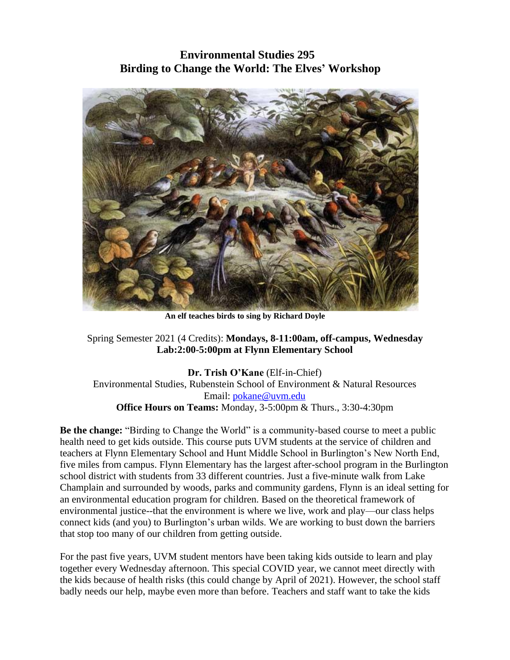## **Environmental Studies 295 Birding to Change the World: The Elves' Workshop**



**An elf teaches birds to sing by Richard Doyle**

Spring Semester 2021 (4 Credits): **Mondays, 8-11:00am, off-campus, Wednesday Lab:2:00-5:00pm at Flynn Elementary School**

**Dr. Trish O'Kane** (Elf-in-Chief) Environmental Studies, Rubenstein School of Environment & Natural Resources Email: [pokane@uvm.edu](mailto:pokane@uvm.edu) **Office Hours on Teams:** Monday, 3-5:00pm & Thurs., 3:30-4:30pm

**Be the change:** "Birding to Change the World" is a community-based course to meet a public health need to get kids outside. This course puts UVM students at the service of children and teachers at Flynn Elementary School and Hunt Middle School in Burlington's New North End, five miles from campus. Flynn Elementary has the largest after-school program in the Burlington school district with students from 33 different countries. Just a five-minute walk from Lake Champlain and surrounded by woods, parks and community gardens, Flynn is an ideal setting for an environmental education program for children. Based on the theoretical framework of environmental justice--that the environment is where we live, work and play—our class helps connect kids (and you) to Burlington's urban wilds. We are working to bust down the barriers that stop too many of our children from getting outside.

For the past five years, UVM student mentors have been taking kids outside to learn and play together every Wednesday afternoon. This special COVID year, we cannot meet directly with the kids because of health risks (this could change by April of 2021). However, the school staff badly needs our help, maybe even more than before. Teachers and staff want to take the kids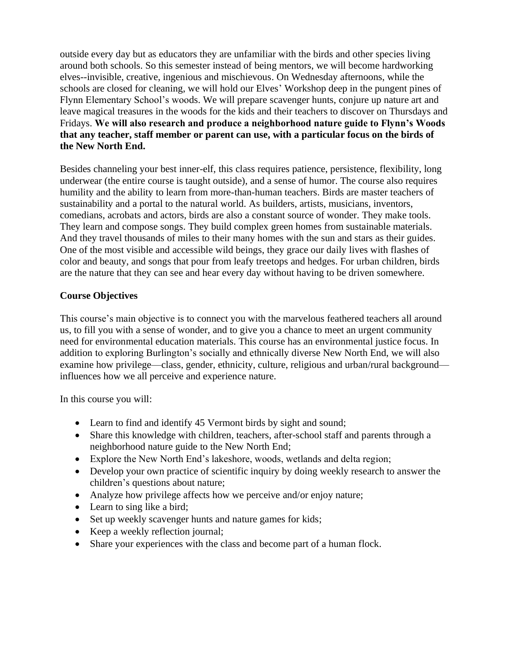outside every day but as educators they are unfamiliar with the birds and other species living around both schools. So this semester instead of being mentors, we will become hardworking elves--invisible, creative, ingenious and mischievous. On Wednesday afternoons, while the schools are closed for cleaning, we will hold our Elves' Workshop deep in the pungent pines of Flynn Elementary School's woods. We will prepare scavenger hunts, conjure up nature art and leave magical treasures in the woods for the kids and their teachers to discover on Thursdays and Fridays. **We will also research and produce a neighborhood nature guide to Flynn's Woods that any teacher, staff member or parent can use, with a particular focus on the birds of the New North End.**

Besides channeling your best inner-elf, this class requires patience, persistence, flexibility, long underwear (the entire course is taught outside), and a sense of humor. The course also requires humility and the ability to learn from more-than-human teachers. Birds are master teachers of sustainability and a portal to the natural world. As builders, artists, musicians, inventors, comedians, acrobats and actors, birds are also a constant source of wonder. They make tools. They learn and compose songs. They build complex green homes from sustainable materials. And they travel thousands of miles to their many homes with the sun and stars as their guides. One of the most visible and accessible wild beings, they grace our daily lives with flashes of color and beauty, and songs that pour from leafy treetops and hedges. For urban children, birds are the nature that they can see and hear every day without having to be driven somewhere.

#### **Course Objectives**

This course's main objective is to connect you with the marvelous feathered teachers all around us, to fill you with a sense of wonder, and to give you a chance to meet an urgent community need for environmental education materials. This course has an environmental justice focus. In addition to exploring Burlington's socially and ethnically diverse New North End, we will also examine how privilege—class, gender, ethnicity, culture, religious and urban/rural background influences how we all perceive and experience nature.

In this course you will:

- Learn to find and identify 45 Vermont birds by sight and sound;
- Share this knowledge with children, teachers, after-school staff and parents through a neighborhood nature guide to the New North End;
- Explore the New North End's lakeshore, woods, wetlands and delta region;
- Develop your own practice of scientific inquiry by doing weekly research to answer the children's questions about nature;
- Analyze how privilege affects how we perceive and/or enjoy nature;
- Learn to sing like a bird;
- Set up weekly scavenger hunts and nature games for kids;
- Keep a weekly reflection journal;
- Share your experiences with the class and become part of a human flock.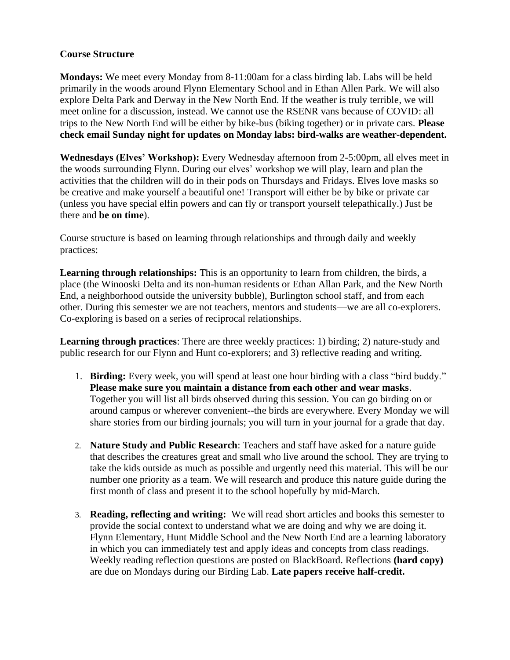#### **Course Structure**

**Mondays:** We meet every Monday from 8-11:00am for a class birding lab. Labs will be held primarily in the woods around Flynn Elementary School and in Ethan Allen Park. We will also explore Delta Park and Derway in the New North End. If the weather is truly terrible, we will meet online for a discussion, instead. We cannot use the RSENR vans because of COVID: all trips to the New North End will be either by bike-bus (biking together) or in private cars. **Please check email Sunday night for updates on Monday labs: bird-walks are weather-dependent.**

**Wednesdays (Elves' Workshop):** Every Wednesday afternoon from 2-5:00pm, all elves meet in the woods surrounding Flynn. During our elves' workshop we will play, learn and plan the activities that the children will do in their pods on Thursdays and Fridays. Elves love masks so be creative and make yourself a beautiful one! Transport will either be by bike or private car (unless you have special elfin powers and can fly or transport yourself telepathically.) Just be there and **be on time**).

Course structure is based on learning through relationships and through daily and weekly practices:

Learning through relationships: This is an opportunity to learn from children, the birds, a place (the Winooski Delta and its non-human residents or Ethan Allan Park, and the New North End, a neighborhood outside the university bubble), Burlington school staff, and from each other. During this semester we are not teachers, mentors and students—we are all co-explorers. Co-exploring is based on a series of reciprocal relationships.

**Learning through practices**: There are three weekly practices: 1) birding; 2) nature-study and public research for our Flynn and Hunt co-explorers; and 3) reflective reading and writing.

- 1. **Birding:** Every week, you will spend at least one hour birding with a class "bird buddy." **Please make sure you maintain a distance from each other and wear masks**. Together you will list all birds observed during this session. You can go birding on or around campus or wherever convenient--the birds are everywhere. Every Monday we will share stories from our birding journals; you will turn in your journal for a grade that day.
- 2. **Nature Study and Public Research**: Teachers and staff have asked for a nature guide that describes the creatures great and small who live around the school. They are trying to take the kids outside as much as possible and urgently need this material. This will be our number one priority as a team. We will research and produce this nature guide during the first month of class and present it to the school hopefully by mid-March.
- 3. **Reading, reflecting and writing:** We will read short articles and books this semester to provide the social context to understand what we are doing and why we are doing it. Flynn Elementary, Hunt Middle School and the New North End are a learning laboratory in which you can immediately test and apply ideas and concepts from class readings. Weekly reading reflection questions are posted on BlackBoard. Reflections **(hard copy)** are due on Mondays during our Birding Lab. **Late papers receive half-credit.**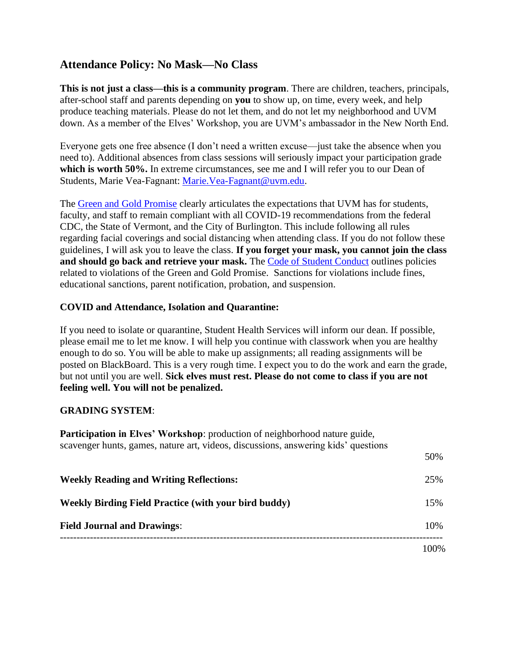## **Attendance Policy: No Mask—No Class**

**This is not just a class—this is a community program**. There are children, teachers, principals, after-school staff and parents depending on **you** to show up, on time, every week, and help produce teaching materials. Please do not let them, and do not let my neighborhood and UVM down. As a member of the Elves' Workshop, you are UVM's ambassador in the New North End.

Everyone gets one free absence (I don't need a written excuse—just take the absence when you need to). Additional absences from class sessions will seriously impact your participation grade which is worth 50%. In extreme circumstances, see me and I will refer you to our Dean of Students, Marie Vea-Fagnant: [Marie.Vea-Fagnant@uvm.edu.](mailto:Marie.Vea-Fagnant@uvm.edu)

The [Green and Gold Promise](https://www.uvm.edu/deanofstudents/green-and-gold-promise) clearly articulates the expectations that UVM has for students, faculty, and staff to remain compliant with all COVID-19 recommendations from the federal CDC, the State of Vermont, and the City of Burlington. This include following all rules regarding facial coverings and social distancing when attending class. If you do not follow these guidelines, I will ask you to leave the class. **If you forget your mask, you cannot join the class and should go back and retrieve your mask.** The [Code of Student Conduct](https://www.uvm.edu/sites/default/files/UVM-Policies/policies/studentcode.pdf) outlines policies related to violations of the Green and Gold Promise. Sanctions for violations include fines, educational sanctions, parent notification, probation, and suspension.

#### **COVID and Attendance, Isolation and Quarantine:**

If you need to isolate or quarantine, Student Health Services will inform our dean. If possible, please email me to let me know. I will help you continue with classwork when you are healthy enough to do so. You will be able to make up assignments; all reading assignments will be posted on BlackBoard. This is a very rough time. I expect you to do the work and earn the grade, but not until you are well. **Sick elves must rest. Please do not come to class if you are not feeling well. You will not be penalized.**

#### **GRADING SYSTEM**:

| <b>Participation in Elves' Workshop:</b> production of neighborhood nature guide,<br>scavenger hunts, games, nature art, videos, discussions, answering kids' questions |      |
|-------------------------------------------------------------------------------------------------------------------------------------------------------------------------|------|
|                                                                                                                                                                         | 50%  |
| <b>Weekly Reading and Writing Reflections:</b>                                                                                                                          | 25%  |
| <b>Weekly Birding Field Practice (with your bird buddy)</b>                                                                                                             | 15%  |
| <b>Field Journal and Drawings:</b>                                                                                                                                      | 10%  |
|                                                                                                                                                                         | 100% |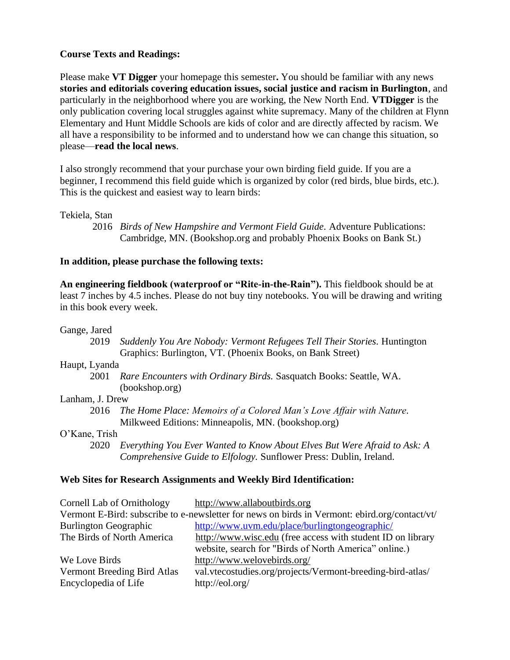#### **Course Texts and Readings:**

Please make **VT Digger** your homepage this semester**.** You should be familiar with any news **stories and editorials covering education issues, social justice and racism in Burlington**, and particularly in the neighborhood where you are working, the New North End. **VTDigger** is the only publication covering local struggles against white supremacy. Many of the children at Flynn Elementary and Hunt Middle Schools are kids of color and are directly affected by racism. We all have a responsibility to be informed and to understand how we can change this situation, so please—**read the local news**.

I also strongly recommend that your purchase your own birding field guide. If you are a beginner, I recommend this field guide which is organized by color (red birds, blue birds, etc.). This is the quickest and easiest way to learn birds:

#### Tekiela, Stan

2016 *Birds of New Hampshire and Vermont Field Guide.* Adventure Publications: Cambridge, MN. (Bookshop.org and probably Phoenix Books on Bank St.)

#### **In addition, please purchase the following texts:**

**An engineering fieldbook (waterproof or "Rite-in-the-Rain").** This fieldbook should be at least 7 inches by 4.5 inches. Please do not buy tiny notebooks. You will be drawing and writing in this book every week.

#### Gange, Jared

2019 *Suddenly You Are Nobody: Vermont Refugees Tell Their Stories.* Huntington Graphics: Burlington, VT. (Phoenix Books, on Bank Street)

#### Haupt, Lyanda

2001 *Rare Encounters with Ordinary Birds.* Sasquatch Books: Seattle, WA. (bookshop.org)

#### Lanham, J. Drew

2016 *The Home Place: Memoirs of a Colored Man's Love Affair with Nature.* Milkweed Editions: Minneapolis, MN. (bookshop.org)

#### O'Kane, Trish

2020 *Everything You Ever Wanted to Know About Elves But Were Afraid to Ask: A Comprehensive Guide to Elfology.* Sunflower Press: Dublin, Ireland.

#### **Web Sites for Research Assignments and Weekly Bird Identification:**

| Cornell Lab of Ornithology   | http://www.allaboutbirds.org                                                                  |
|------------------------------|-----------------------------------------------------------------------------------------------|
|                              | Vermont E-Bird: subscribe to e-newsletter for news on birds in Vermont: ebird.org/contact/vt/ |
| <b>Burlington Geographic</b> | http://www.uvm.edu/place/burlingtongeographic/                                                |
| The Birds of North America   | http://www.wisc.edu (free access with student ID on library                                   |
|                              | website, search for "Birds of North America" online.)                                         |
| We Love Birds                | http://www.welovebirds.org/                                                                   |
| Vermont Breeding Bird Atlas  | val.vtecostudies.org/projects/Vermont-breeding-bird-atlas/                                    |
| Encyclopedia of Life         | http://eol.org/                                                                               |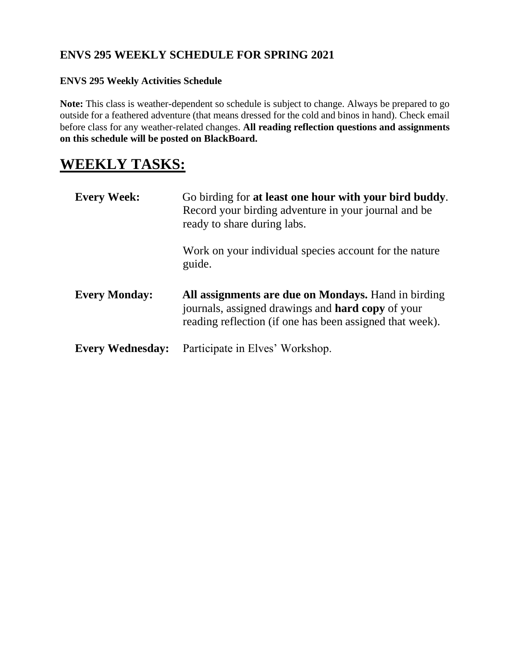## **ENVS 295 WEEKLY SCHEDULE FOR SPRING 2021**

### **ENVS 295 Weekly Activities Schedule**

**Note:** This class is weather-dependent so schedule is subject to change. Always be prepared to go outside for a feathered adventure (that means dressed for the cold and binos in hand). Check email before class for any weather-related changes. **All reading reflection questions and assignments on this schedule will be posted on BlackBoard.** 

# **WEEKLY TASKS:**

| <b>Every Week:</b>      | Go birding for at least one hour with your bird buddy.<br>Record your birding adventure in your journal and be<br>ready to share during labs.                        |
|-------------------------|----------------------------------------------------------------------------------------------------------------------------------------------------------------------|
|                         | Work on your individual species account for the nature<br>guide.                                                                                                     |
| <b>Every Monday:</b>    | All assignments are due on Mondays. Hand in birding<br>journals, assigned drawings and hard copy of your<br>reading reflection (if one has been assigned that week). |
| <b>Every Wednesday:</b> | Participate in Elves' Workshop.                                                                                                                                      |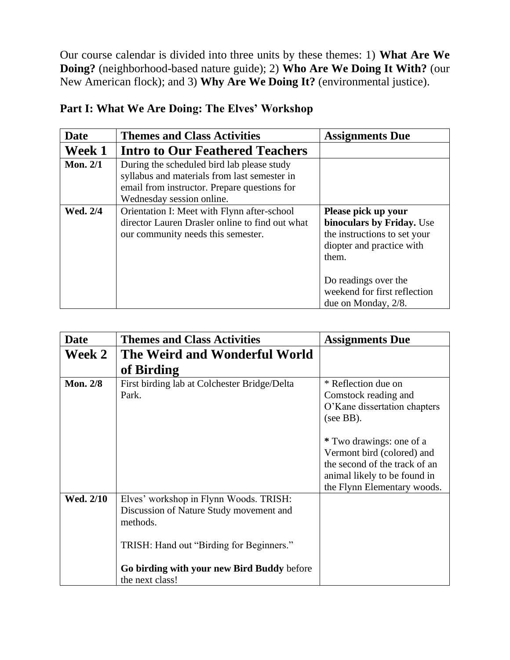Our course calendar is divided into three units by these themes: 1) **What Are We Doing?** (neighborhood-based nature guide); 2) **Who Are We Doing It With?** (our New American flock); and 3) **Why Are We Doing It?** (environmental justice).

| <b>Date</b>     | <b>Themes and Class Activities</b>                                                                                                                                      | <b>Assignments Due</b>                                                                                                                         |
|-----------------|-------------------------------------------------------------------------------------------------------------------------------------------------------------------------|------------------------------------------------------------------------------------------------------------------------------------------------|
| Week 1          | <b>Intro to Our Feathered Teachers</b>                                                                                                                                  |                                                                                                                                                |
| <b>Mon. 2/1</b> | During the scheduled bird lab please study<br>syllabus and materials from last semester in<br>email from instructor. Prepare questions for<br>Wednesday session online. |                                                                                                                                                |
| Wed. 2/4        | Orientation I: Meet with Flynn after-school<br>director Lauren Drasler online to find out what<br>our community needs this semester.                                    | Please pick up your<br>binoculars by Friday. Use<br>the instructions to set your<br>diopter and practice with<br>them.<br>Do readings over the |
|                 |                                                                                                                                                                         | weekend for first reflection<br>due on Monday, 2/8.                                                                                            |

## **Part I: What We Are Doing: The Elves' Workshop**

| <b>Date</b>     | <b>Themes and Class Activities</b>                                                                                                                                                                         | <b>Assignments Due</b>                                                                                                                                 |
|-----------------|------------------------------------------------------------------------------------------------------------------------------------------------------------------------------------------------------------|--------------------------------------------------------------------------------------------------------------------------------------------------------|
| Week 2          | The Weird and Wonderful World                                                                                                                                                                              |                                                                                                                                                        |
|                 | of Birding                                                                                                                                                                                                 |                                                                                                                                                        |
| <b>Mon. 2/8</b> | First birding lab at Colchester Bridge/Delta<br>Park.                                                                                                                                                      | * Reflection due on<br>Comstock reading and<br>O'Kane dissertation chapters<br>(see BB).                                                               |
|                 |                                                                                                                                                                                                            | * Two drawings: one of a<br>Vermont bird (colored) and<br>the second of the track of an<br>animal likely to be found in<br>the Flynn Elementary woods. |
| Wed. 2/10       | Elves' workshop in Flynn Woods. TRISH:<br>Discussion of Nature Study movement and<br>methods.<br>TRISH: Hand out "Birding for Beginners."<br>Go birding with your new Bird Buddy before<br>the next class! |                                                                                                                                                        |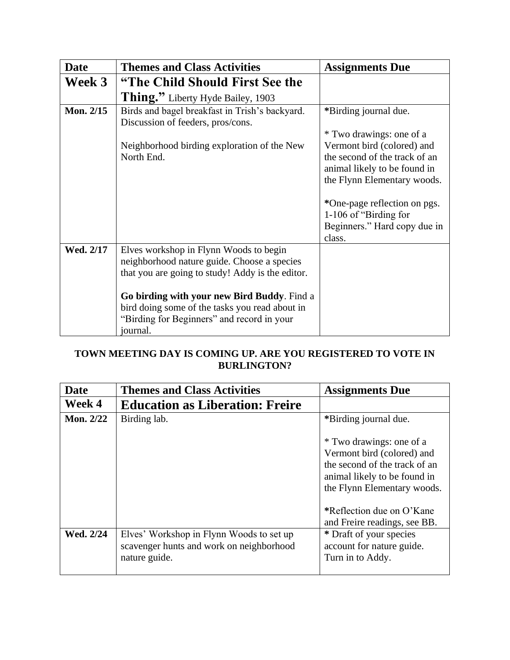| <b>Date</b> | <b>Themes and Class Activities</b>                                                                                                                                                                                                                                                                   | <b>Assignments Due</b>                                                                                                                                                                                                        |
|-------------|------------------------------------------------------------------------------------------------------------------------------------------------------------------------------------------------------------------------------------------------------------------------------------------------------|-------------------------------------------------------------------------------------------------------------------------------------------------------------------------------------------------------------------------------|
| Week 3      | "The Child Should First See the                                                                                                                                                                                                                                                                      |                                                                                                                                                                                                                               |
|             | Thing." Liberty Hyde Bailey, 1903                                                                                                                                                                                                                                                                    |                                                                                                                                                                                                                               |
| Mon. 2/15   | Birds and bagel breakfast in Trish's backyard.<br>Discussion of feeders, pros/cons.                                                                                                                                                                                                                  | *Birding journal due.<br>* Two drawings: one of a                                                                                                                                                                             |
|             | Neighborhood birding exploration of the New<br>North End.                                                                                                                                                                                                                                            | Vermont bird (colored) and<br>the second of the track of an<br>animal likely to be found in<br>the Flynn Elementary woods.<br>*One-page reflection on pgs.<br>1-106 of "Birding for<br>Beginners." Hard copy due in<br>class. |
| Wed. 2/17   | Elves workshop in Flynn Woods to begin<br>neighborhood nature guide. Choose a species<br>that you are going to study! Addy is the editor.<br>Go birding with your new Bird Buddy. Find a<br>bird doing some of the tasks you read about in<br>"Birding for Beginners" and record in your<br>journal. |                                                                                                                                                                                                                               |

## **TOWN MEETING DAY IS COMING UP. ARE YOU REGISTERED TO VOTE IN BURLINGTON?**

| <b>Date</b>      | <b>Themes and Class Activities</b>                                                                    | <b>Assignments Due</b>                                                                                                                                 |
|------------------|-------------------------------------------------------------------------------------------------------|--------------------------------------------------------------------------------------------------------------------------------------------------------|
| Week 4           | <b>Education as Liberation: Freire</b>                                                                |                                                                                                                                                        |
| <b>Mon. 2/22</b> | Birding lab.                                                                                          | *Birding journal due.                                                                                                                                  |
|                  |                                                                                                       | * Two drawings: one of a<br>Vermont bird (colored) and<br>the second of the track of an<br>animal likely to be found in<br>the Flynn Elementary woods. |
|                  |                                                                                                       | *Reflection due on O'Kane<br>and Freire readings, see BB.                                                                                              |
| Wed. 2/24        | Elves' Workshop in Flynn Woods to set up<br>scavenger hunts and work on neighborhood<br>nature guide. | * Draft of your species<br>account for nature guide.<br>Turn in to Addy.                                                                               |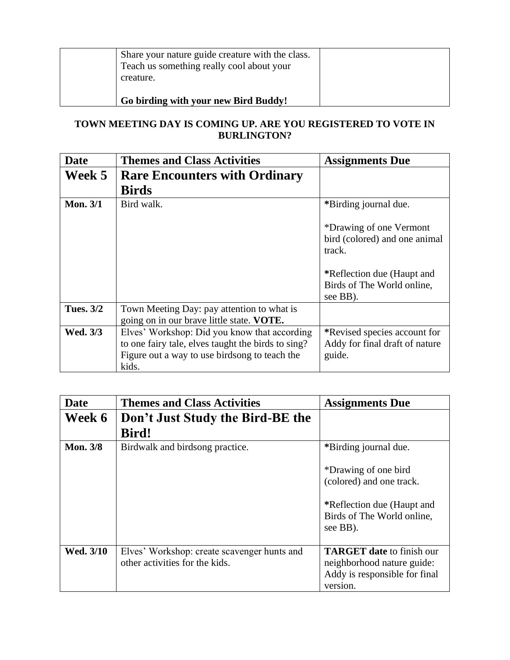| Share your nature guide creature with the class.<br>Teach us something really cool about your<br>creature. |  |
|------------------------------------------------------------------------------------------------------------|--|
| Go birding with your new Bird Buddy!                                                                       |  |

### **TOWN MEETING DAY IS COMING UP. ARE YOU REGISTERED TO VOTE IN BURLINGTON?**

| <b>Date</b>      | <b>Themes and Class Activities</b>                                                                                                                           | <b>Assignments Due</b>                                                                           |
|------------------|--------------------------------------------------------------------------------------------------------------------------------------------------------------|--------------------------------------------------------------------------------------------------|
| Week 5           | <b>Rare Encounters with Ordinary</b>                                                                                                                         |                                                                                                  |
|                  | <b>Birds</b>                                                                                                                                                 |                                                                                                  |
| <b>Mon. 3/1</b>  | Bird walk.                                                                                                                                                   | *Birding journal due.                                                                            |
|                  |                                                                                                                                                              | *Drawing of one Vermont<br>bird (colored) and one animal<br>track.<br>*Reflection due (Haupt and |
|                  |                                                                                                                                                              | Birds of The World online,<br>see BB).                                                           |
| <b>Tues. 3/2</b> | Town Meeting Day: pay attention to what is<br>going on in our brave little state. VOTE.                                                                      |                                                                                                  |
| Wed. 3/3         | Elves' Workshop: Did you know that according<br>to one fairy tale, elves taught the birds to sing?<br>Figure out a way to use birdsong to teach the<br>kids. | *Revised species account for<br>Addy for final draft of nature<br>guide.                         |

| <b>Date</b>     | <b>Themes and Class Activities</b>               | <b>Assignments Due</b>                                               |
|-----------------|--------------------------------------------------|----------------------------------------------------------------------|
| Week 6          | Don't Just Study the Bird-BE the<br><b>Bird!</b> |                                                                      |
|                 |                                                  |                                                                      |
| <b>Mon. 3/8</b> | Birdwalk and birdsong practice.                  | *Birding journal due.                                                |
|                 |                                                  | *Drawing of one bird                                                 |
|                 |                                                  | (colored) and one track.                                             |
|                 |                                                  | *Reflection due (Haupt and<br>Birds of The World online,<br>see BB). |
| Wed. 3/10       | Elves' Workshop: create scavenger hunts and      | <b>TARGET date to finish our</b>                                     |
|                 | other activities for the kids.                   | neighborhood nature guide:                                           |
|                 |                                                  | Addy is responsible for final                                        |
|                 |                                                  | version.                                                             |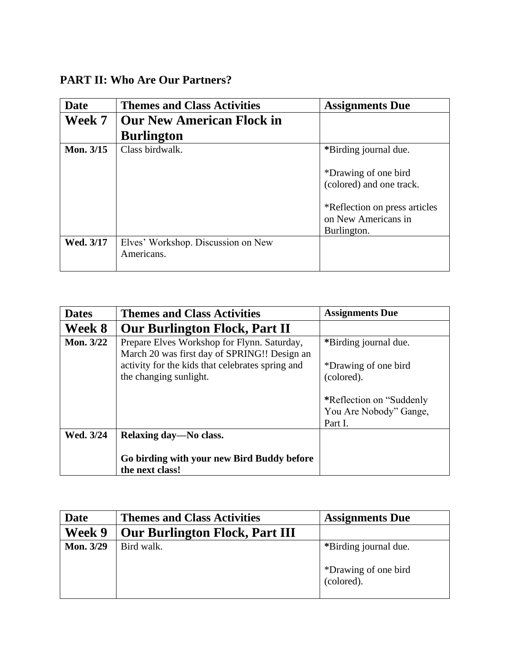## **PART II: Who Are Our Partners?**

| <b>Date</b> | <b>Themes and Class Activities</b>               | <b>Assignments Due</b>                                                            |
|-------------|--------------------------------------------------|-----------------------------------------------------------------------------------|
| Week 7      | <b>Our New American Flock in</b>                 |                                                                                   |
|             | <b>Burlington</b>                                |                                                                                   |
| Mon. 3/15   | Class birdwalk.                                  | *Birding journal due.                                                             |
|             |                                                  | *Drawing of one bird<br>(colored) and one track.<br>*Reflection on press articles |
|             |                                                  | on New Americans in<br>Burlington.                                                |
| Wed. 3/17   | Elves' Workshop. Discussion on New<br>Americans. |                                                                                   |

| <b>Dates</b> | <b>Themes and Class Activities</b>                                                          | <b>Assignments Due</b>             |
|--------------|---------------------------------------------------------------------------------------------|------------------------------------|
| Week 8       | <b>Our Burlington Flock, Part II</b>                                                        |                                    |
| Mon. 3/22    | Prepare Elves Workshop for Flynn. Saturday,<br>March 20 was first day of SPRING!! Design an | *Birding journal due.              |
|              | activity for the kids that celebrates spring and<br>the changing sunlight.                  | *Drawing of one bird<br>(colored). |
|              |                                                                                             | *Reflection on "Suddenly"          |
|              |                                                                                             | You Are Nobody" Gange,<br>Part I.  |
| Wed. 3/24    | Relaxing day—No class.                                                                      |                                    |
|              |                                                                                             |                                    |
|              | Go birding with your new Bird Buddy before<br>the next class!                               |                                    |

| Date      | <b>Themes and Class Activities</b>    | <b>Assignments Due</b>             |
|-----------|---------------------------------------|------------------------------------|
| Week 9    | <b>Our Burlington Flock, Part III</b> |                                    |
| Mon. 3/29 | Bird walk.                            | *Birding journal due.              |
|           |                                       | *Drawing of one bird<br>(colored). |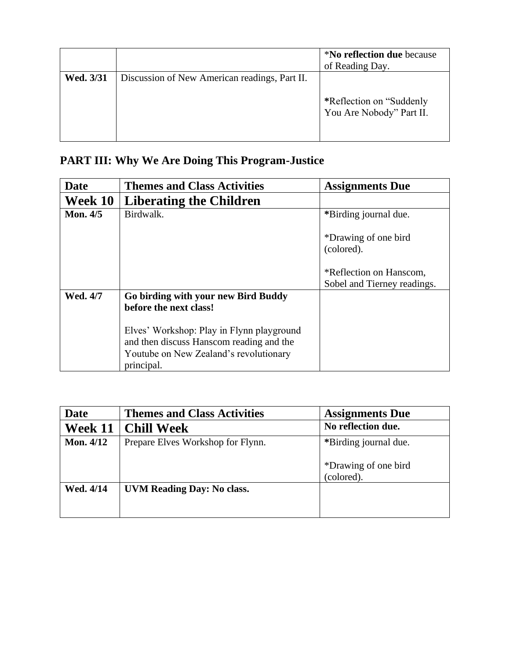|           |                                               | <i>*No reflection due because</i><br>of Reading Day.  |
|-----------|-----------------------------------------------|-------------------------------------------------------|
| Wed. 3/31 | Discussion of New American readings, Part II. | *Reflection on "Suddenly"<br>You Are Nobody" Part II. |

# **PART III: Why We Are Doing This Program-Justice**

| Date            | <b>Themes and Class Activities</b>                                                                                                            | <b>Assignments Due</b>                                        |
|-----------------|-----------------------------------------------------------------------------------------------------------------------------------------------|---------------------------------------------------------------|
| Week 10         | <b>Liberating the Children</b>                                                                                                                |                                                               |
| <b>Mon. 4/5</b> | Birdwalk.                                                                                                                                     | *Birding journal due.                                         |
|                 |                                                                                                                                               | *Drawing of one bird<br>(colored).<br>*Reflection on Hanscom, |
|                 |                                                                                                                                               | Sobel and Tierney readings.                                   |
| <b>Wed. 4/7</b> | Go birding with your new Bird Buddy<br>before the next class!                                                                                 |                                                               |
|                 | Elves' Workshop: Play in Flynn playground<br>and then discuss Hanscom reading and the<br>Youtube on New Zealand's revolutionary<br>principal. |                                                               |

| Date             | <b>Themes and Class Activities</b> | <b>Assignments Due</b>             |
|------------------|------------------------------------|------------------------------------|
| Week 11          | <b>Chill Week</b>                  | No reflection due.                 |
| <b>Mon. 4/12</b> | Prepare Elves Workshop for Flynn.  | *Birding journal due.              |
|                  |                                    | *Drawing of one bird<br>(colored). |
| Wed. 4/14        | <b>UVM Reading Day: No class.</b>  |                                    |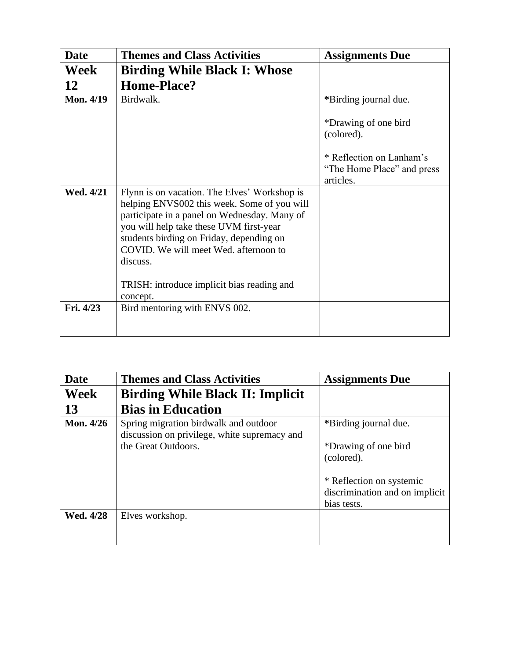| <b>Date</b>      | <b>Themes and Class Activities</b>                                                                                                                                                                                                 | <b>Assignments Due</b>                                                                                    |
|------------------|------------------------------------------------------------------------------------------------------------------------------------------------------------------------------------------------------------------------------------|-----------------------------------------------------------------------------------------------------------|
| <b>Week</b>      | <b>Birding While Black I: Whose</b>                                                                                                                                                                                                |                                                                                                           |
| 12               | Home-Place?                                                                                                                                                                                                                        |                                                                                                           |
| <b>Mon. 4/19</b> | Birdwalk.                                                                                                                                                                                                                          | *Birding journal due.                                                                                     |
| Wed. 4/21        | Flynn is on vacation. The Elves' Workshop is<br>helping ENVS002 this week. Some of you will<br>participate in a panel on Wednesday. Many of<br>you will help take these UVM first-year<br>students birding on Friday, depending on | *Drawing of one bird<br>(colored).<br>* Reflection on Lanham's<br>"The Home Place" and press<br>articles. |
|                  | COVID. We will meet Wed. afternoon to<br>discuss.                                                                                                                                                                                  |                                                                                                           |
|                  | TRISH: introduce implicit bias reading and<br>concept.                                                                                                                                                                             |                                                                                                           |
| Fri. 4/23        | Bird mentoring with ENVS 002.                                                                                                                                                                                                      |                                                                                                           |

| <b>Date</b> | <b>Themes and Class Activities</b>           | <b>Assignments Due</b>         |
|-------------|----------------------------------------------|--------------------------------|
| <b>Week</b> | <b>Birding While Black II: Implicit</b>      |                                |
| 13          | <b>Bias in Education</b>                     |                                |
| Mon. 4/26   | Spring migration birdwalk and outdoor        | *Birding journal due.          |
|             | discussion on privilege, white supremacy and |                                |
|             | the Great Outdoors.                          | *Drawing of one bird           |
|             |                                              | (colored).                     |
|             |                                              | * Reflection on systemic       |
|             |                                              | discrimination and on implicit |
|             |                                              | bias tests.                    |
| Wed. 4/28   | Elves workshop.                              |                                |
|             |                                              |                                |
|             |                                              |                                |